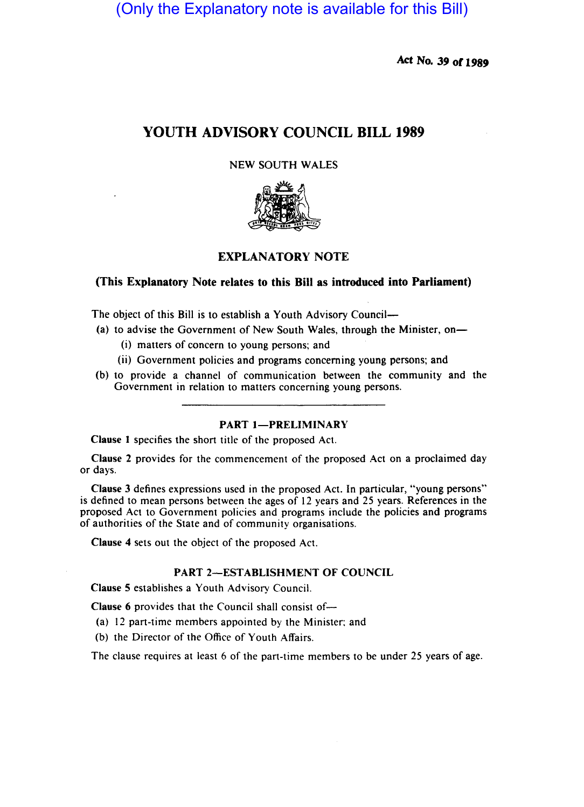(Only the Explanatory note is available for this Bill)

Act No. 39 or 1989

# YOUTH ADVISORY COUNCIL BILL 1989

### NEW SOUTH WALES



# EXPLANATORY NOTE

# (This Explanatory Note relates to this Bill as introduced into Parliament)

The object of this Bill is to establish a Youth Advisory Council-

- (a) to advise the Government of New South Wales, through the Minister, on-
	- (i) matters of concern to young persons; and
	- (ii) Government policies and programs concerning young persons; and
- (b) to provide a channel of communication between the community and the Government in relation to matters concerning young persons.

### PART 1-PRELIMINARY

Clause I specifies the short title of the proposed Act.

Clause 2 provides for the commencement of the proposed Act on a proclaimed day or days.

Clause 3 defines expressions used in the proposed Act. In particular, "young persons" is defined to mean persons between the ages of 12 years and 25 years. References in the proposed Act to Government policies and programs include the policies and programs of authorities of the State and of community organisations.

Clause 4 sets out the object of the proposed Act.

# PART 2-ESTABLISHMENT OF COUNCIL

Clause 5 establishes a Youth Advisory Council.

Clause 6 provides that the Council shall consist of-

- (a) 12 part-time members appointed by the Minister; and
- (b) the Director of the Office of Youth Affairs.

The clause requires at least 6 of the part-time members to be under 25 years of age.